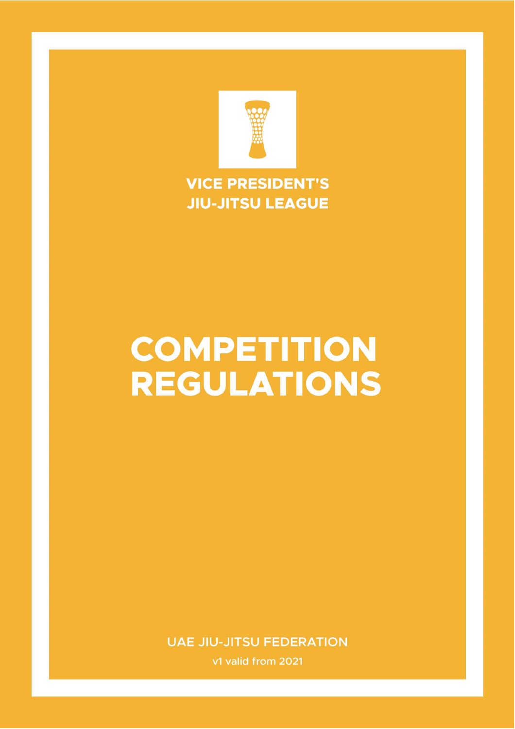

### **VICE PRESIDENT'S JIU-JITSU LEAGUE**

## **COMPETITION REGULATIONS**

**UAE JIU-JITSU FEDERATION** 

v1 valid from 2021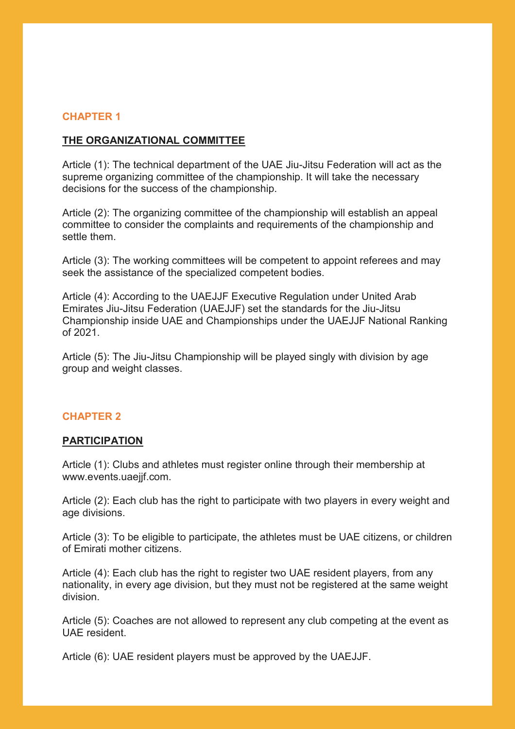#### **CHAPTER 1**

#### **THE ORGANIZATIONAL COMMITTEE**

Article (1): The technical department of the UAE Jiu-Jitsu Federation will act as the supreme organizing committee of the championship. It will take the necessary decisions for the success of the championship.

Article (2): The organizing committee of the championship will establish an appeal committee to consider the complaints and requirements of the championship and settle them.

Article (3): The working committees will be competent to appoint referees and may seek the assistance of the specialized competent bodies.

Article (4): According to the UAEJJF Executive Regulation under United Arab Emirates Jiu-Jitsu Federation (UAEJJF) set the standards for the Jiu-Jitsu Championship inside UAE and Championships under the UAEJJF National Ranking of 2021.

Article (5): The Jiu-Jitsu Championship will be played singly with division by age group and weight classes.

#### **CHAPTER 2**

#### **PARTICIPATION**

Article (1): Clubs and athletes must register online through their membership at www.events.uaejjf.com.

Article (2): Each club has the right to participate with two players in every weight and age divisions.

Article (3): To be eligible to participate, the athletes must be UAE citizens, or children of Emirati mother citizens.

Article (4): Each club has the right to register two UAE resident players, from any nationality, in every age division, but they must not be registered at the same weight division.

Article (5): Coaches are not allowed to represent any club competing at the event as UAE resident.

Article (6): UAE resident players must be approved by the UAEJJF.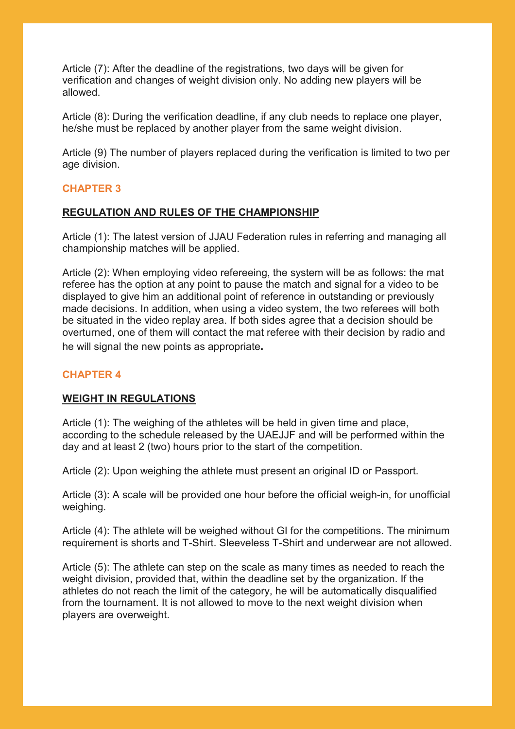Article (7): After the deadline of the registrations, two days will be given for verification and changes of weight division only. No adding new players will be allowed.

Article (8): During the verification deadline, if any club needs to replace one player, he/she must be replaced by another player from the same weight division.

Article (9) The number of players replaced during the verification is limited to two per age division.

#### **CHAPTER 3**

#### **REGULATION AND RULES OF THE CHAMPIONSHIP**

Article (1): The latest version of JJAU Federation rules in referring and managing all championship matches will be applied.

Article (2): When employing video refereeing, the system will be as follows: the mat referee has the option at any point to pause the match and signal for a video to be displayed to give him an additional point of reference in outstanding or previously made decisions. In addition, when using a video system, the two referees will both be situated in the video replay area. If both sides agree that a decision should be overturned, one of them will contact the mat referee with their decision by radio and he will signal the new points as appropriate**.**

#### **CHAPTER 4**

#### **WEIGHT IN REGULATIONS**

Article (1): The weighing of the athletes will be held in given time and place, according to the schedule released by the UAEJJF and will be performed within the day and at least 2 (two) hours prior to the start of the competition.

Article (2): Upon weighing the athlete must present an original ID or Passport.

Article (3): A scale will be provided one hour before the official weigh-in, for unofficial weighing.

Article (4): The athlete will be weighed without GI for the competitions. The minimum requirement is shorts and T-Shirt. Sleeveless T-Shirt and underwear are not allowed.

Article (5): The athlete can step on the scale as many times as needed to reach the weight division, provided that, within the deadline set by the organization. If the athletes do not reach the limit of the category, he will be automatically disqualified from the tournament. It is not allowed to move to the next weight division when players are overweight.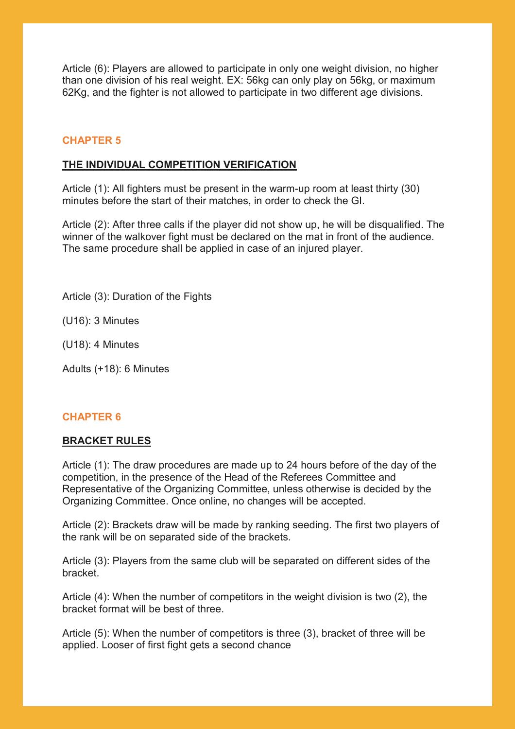Article (6): Players are allowed to participate in only one weight division, no higher than one division of his real weight. EX: 56kg can only play on 56kg, or maximum 62Kg, and the fighter is not allowed to participate in two different age divisions.

#### **CHAPTER 5**

#### **THE INDIVIDUAL COMPETITION VERIFICATION**

Article (1): All fighters must be present in the warm-up room at least thirty (30) minutes before the start of their matches, in order to check the GI.

Article (2): After three calls if the player did not show up, he will be disqualified. The winner of the walkover fight must be declared on the mat in front of the audience. The same procedure shall be applied in case of an injured player.

Article (3): Duration of the Fights

(U16): 3 Minutes

(U18): 4 Minutes

Adults (+18): 6 Minutes

#### **CHAPTER 6**

#### **BRACKET RULES**

Article (1): The draw procedures are made up to 24 hours before of the day of the competition, in the presence of the Head of the Referees Committee and Representative of the Organizing Committee, unless otherwise is decided by the Organizing Committee. Once online, no changes will be accepted.

Article (2): Brackets draw will be made by ranking seeding. The first two players of the rank will be on separated side of the brackets.

Article (3): Players from the same club will be separated on different sides of the bracket.

Article (4): When the number of competitors in the weight division is two (2), the bracket format will be best of three.

Article (5): When the number of competitors is three (3), bracket of three will be applied. Looser of first fight gets a second chance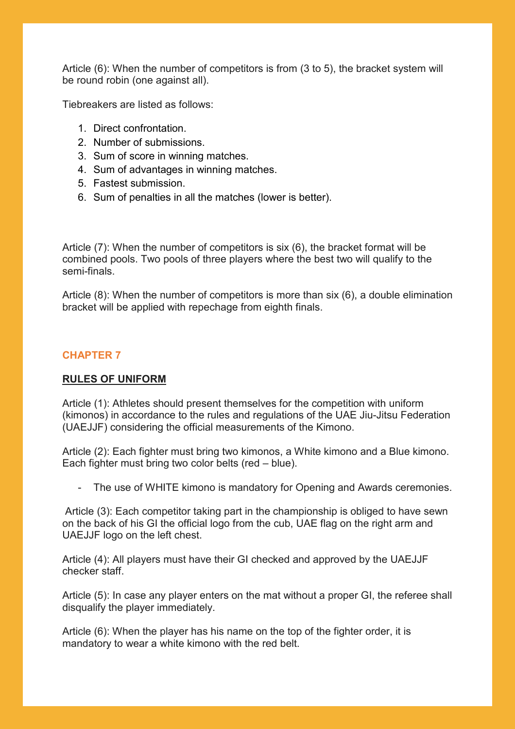Article (6): When the number of competitors is from (3 to 5), the bracket system will be round robin (one against all).

Tiebreakers are listed as follows:

- 1. Direct confrontation.
- 2. Number of submissions.
- 3. Sum of score in winning matches.
- 4. Sum of advantages in winning matches.
- 5. Fastest submission.
- 6. Sum of penalties in all the matches (lower is better).

Article (7): When the number of competitors is six (6), the bracket format will be combined pools. Two pools of three players where the best two will qualify to the semi-finals.

Article (8): When the number of competitors is more than six (6), a double elimination bracket will be applied with repechage from eighth finals.

#### **CHAPTER 7**

#### **RULES OF UNIFORM**

Article (1): Athletes should present themselves for the competition with uniform (kimonos) in accordance to the rules and regulations of the UAE Jiu-Jitsu Federation (UAEJJF) considering the official measurements of the Kimono.

Article (2): Each fighter must bring two kimonos, a White kimono and a Blue kimono. Each fighter must bring two color belts (red – blue).

- The use of WHITE kimono is mandatory for Opening and Awards ceremonies.

Article (3): Each competitor taking part in the championship is obliged to have sewn on the back of his GI the official logo from the cub, UAE flag on the right arm and UAEJJF logo on the left chest.

Article (4): All players must have their GI checked and approved by the UAEJJF checker staff.

Article (5): In case any player enters on the mat without a proper GI, the referee shall disqualify the player immediately.

Article (6): When the player has his name on the top of the fighter order, it is mandatory to wear a white kimono with the red belt.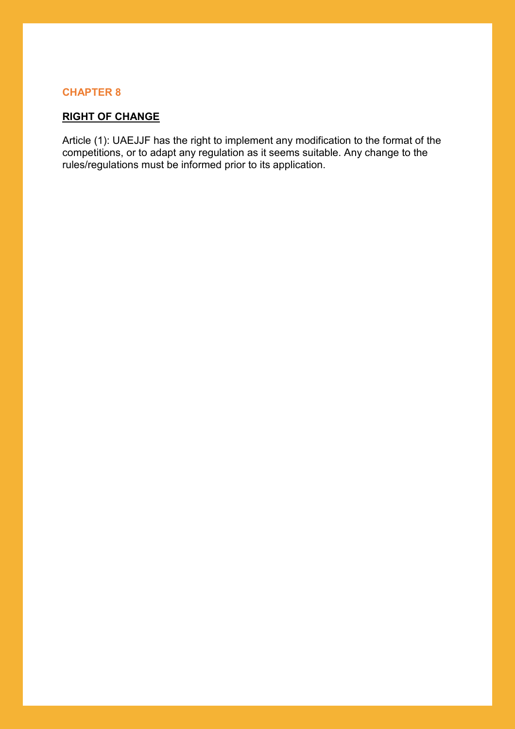#### **CHAPTER 8**

#### **RIGHT OF CHANGE**

Article (1): UAEJJF has the right to implement any modification to the format of the competitions, or to adapt any regulation as it seems suitable. Any change to the rules/regulations must be informed prior to its application.